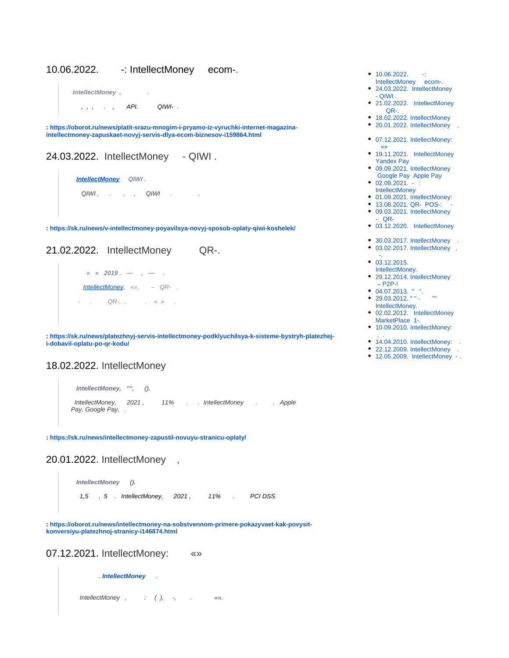## <span id="page-0-0"></span>10.06.2022. -: IntellectMoney ecom-.



**: [https://oborot.ru/news/platit-srazu-mnogim-i-pryamo-iz-vyruchki-internet-magazina](https://oborot.ru/news/platit-srazu-mnogim-i-pryamo-iz-vyruchki-internet-magazina-intellectmoney-zapuskaet-novyj-servis-dlya-ecom-biznesov-i159864.html)[intellectmoney-zapuskaet-novyj-servis-dlya-ecom-biznesov-i159864.html](https://oborot.ru/news/platit-srazu-mnogim-i-pryamo-iz-vyruchki-internet-magazina-intellectmoney-zapuskaet-novyj-servis-dlya-ecom-biznesov-i159864.html)**

<span id="page-0-1"></span>24.03.2022. IntellectMoney - QIWI .

 **[IntellectMoney](https://navigator.sk.ru/orn/1124226) QIWI .**  $QIWI$ , , ,  $QIWI$  , , ,

**:<https://sk.ru/news/v-intellectmoney-poyavilsya-novyj-sposob-oplaty-qiwi-koshelek/>**

<span id="page-0-2"></span>21.02.2022. IntellectMoney QR-.



**: [https://sk.ru/news/platezhnyj-servis-intellectmoney-podklyuchilsya-k-sisteme-bystryh-platezhej](https://sk.ru/news/platezhnyj-servis-intellectmoney-podklyuchilsya-k-sisteme-bystryh-platezhej-i-dobavil-oplatu-po-qr-kodu/)[i-dobavil-oplatu-po-qr-kodu/](https://sk.ru/news/platezhnyj-servis-intellectmoney-podklyuchilsya-k-sisteme-bystryh-platezhej-i-dobavil-oplatu-po-qr-kodu/)**

#### <span id="page-0-3"></span>18.02.2022. IntellectMoney

```
 IntellectMoney, "", ().
IntellectMoney, 2021, 11% . . IntellectMoney . . , Apple
Pay, Google Pay, .
```
**:<https://sk.ru/news/intellectmoney-zapustil-novuyu-stranicu-oplaty/>**

<span id="page-0-4"></span>20.01.2022. IntellectMoney ,

 **IntellectMoney ().** 1,5 , 5 . IntellectMoney, 2021, 11% . PCI DSS.

**: [https://oborot.ru/news/intellectmoney-na-sobstvennom-primere-pokazyvaet-kak-povysit](https://oborot.ru/news/intellectmoney-na-sobstvennom-primere-pokazyvaet-kak-povysit-konversiyu-platezhnoj-stranicy-i146874.html)[konversiyu-platezhnoj-stranicy-i146874.html](https://oborot.ru/news/intellectmoney-na-sobstvennom-primere-pokazyvaet-kak-povysit-konversiyu-platezhnoj-stranicy-i146874.html)**

<span id="page-0-5"></span>07.12.2021. IntellectMoney: «»

 **[. IntellectMoney](https://navigator.sk.ru/orn/1124226) .**

IntellectMoney , : ( ), -, . «».

- $10.06.2022. -:$ [IntellectMoney ecom-.](#page-0-0)
- [24.03.2022. IntellectMoney](#page-0-1)  [- QIWI .](#page-0-1)
- [21.02.2022. IntellectMoney](#page-0-2)   [QR-.](#page-0-2)
- [18.02.2022. IntellectMoney](#page-0-3)
- 20.01.2022. IntellectMoney ,
- [07.12.2021. IntellectMoney:](#page-0-5)   [«»](#page-0-5)
- 19.11.2021. IntellectMoney [Yandex Pay](#page-1-0)
- [09.09.2021. IntellectMoney](#page-1-1)   [Google Pay Apple Pay](#page-1-1)
- $\bullet$  02.09.2021. -**[IntellectMoney](#page-1-2)**
- [01.09.2021. IntellectMoney:](#page-1-3)
- $13.08.2021.$  QR- POS-:  $-$
- [09.03.2021. IntellectMoney](#page-1-5)  [- QR-](#page-1-5)
- [03.12.2020. IntellectMoney](#page-1-6)
- 30.03.2017. IntellectMoney
- [03.02.2017. IntellectMoney ,](#page-2-1)   [-.](#page-2-1)
- [03.12.2015.](#page-2-2)  [IntellectMoney.](#page-2-2)
- 29.12.2014. IntellectMoney  $-$  P<sub>2</sub>P- $\vert$
- [04.07.2013. " ".](#page-3-1)
- 29.03.2012. " " -[IntellectMoney.](#page-3-2)
- [02.02.2012. IntellectMoney](#page-3-3)  [MarketPlace 1-.](#page-3-3)
- [10.09.2010. IntellectMoney:](#page-4-0)
- [, .](#page-4-0)
- [14.04.2010. IntellectMoney: .](#page-4-1) • 22.12.2009. IntellectMoney
- [12.05.2009. IntellectMoney .](#page-4-3)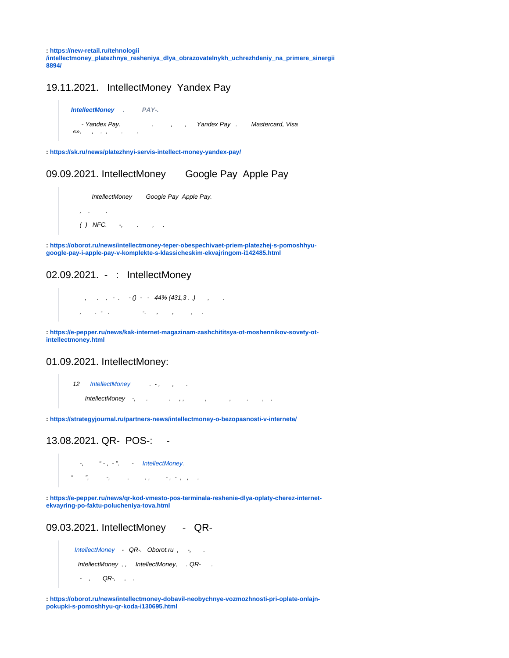**: [https://new-retail.ru/tehnologii](https://new-retail.ru/tehnologii/intellectmoney_platezhnye_resheniya_dlya_obrazovatelnykh_uchrezhdeniy_na_primere_sinergii8894/) [/intellectmoney\\_platezhnye\\_resheniya\\_dlya\\_obrazovatelnykh\\_uchrezhdeniy\\_na\\_primere\\_sinergii](https://new-retail.ru/tehnologii/intellectmoney_platezhnye_resheniya_dlya_obrazovatelnykh_uchrezhdeniy_na_primere_sinergii8894/) [8894/](https://new-retail.ru/tehnologii/intellectmoney_platezhnye_resheniya_dlya_obrazovatelnykh_uchrezhdeniy_na_primere_sinergii8894/)**

#### <span id="page-1-0"></span>19.11.2021. IntellectMoney Yandex Pay

```
IntellectMoney . PAY-. 
   - Yandex Pay. . , , , Yandex Pay . Mastercard, Visa
\langle\langle \rangle, \qquad , \qquad , \qquad , \qquad .
```
**:<https://sk.ru/news/platezhnyi-servis-intellect-money-yandex-pay/>**

<span id="page-1-1"></span>09.09.2021. IntellectMoney Google Pay Apple Pay

```
 IntellectMoney Google Pay Apple Pay.
 , . .
( ) NFC. -, ., .
```
**: [https://oborot.ru/news/intellectmoney-teper-obespechivaet-priem-platezhej-s-pomoshhyu](https://oborot.ru/news/intellectmoney-teper-obespechivaet-priem-platezhej-s-pomoshhyu-google-pay-i-apple-pay-v-komplekte-s-klassicheskim-ekvajringom-i142485.html)[google-pay-i-apple-pay-v-komplekte-s-klassicheskim-ekvajringom-i142485.html](https://oborot.ru/news/intellectmoney-teper-obespechivaet-priem-platezhej-s-pomoshhyu-google-pay-i-apple-pay-v-komplekte-s-klassicheskim-ekvajringom-i142485.html)**

## <span id="page-1-2"></span>02.09.2021. - : IntellectMoney

```
, , , , , () - -44\% (431,3..), .
 , . - . -. , , , .
```
**: [https://e-pepper.ru/news/kak-internet-magazinam-zashchititsya-ot-moshennikov-sovety-ot](https://e-pepper.ru/news/kak-internet-magazinam-zashchititsya-ot-moshennikov-sovety-ot-intellectmoney.html)[intellectmoney.html](https://e-pepper.ru/news/kak-internet-magazinam-zashchititsya-ot-moshennikov-sovety-ot-intellectmoney.html)**

#### <span id="page-1-3"></span>01.09.2021. IntellectMoney:

```
IntellectMoney ..., , ...
   IntellectMoney -, . . , , , , . , .
```
**:<https://strategyjournal.ru/partners-news/intellectmoney-o-bezopasnosti-v-internete/>**

<span id="page-1-4"></span>13.08.2021. QR- POS-: -

 $-$ ,  $IntellectMoney$ .  $\frac{1}{2}$  ,  $\frac{1}{2}$  ,  $\frac{1}{2}$  ,  $\frac{1}{2}$  ,  $\frac{1}{2}$  ,  $\frac{1}{2}$  ,  $\frac{1}{2}$  ,  $\frac{1}{2}$  ,  $\frac{1}{2}$  ,  $\frac{1}{2}$  ,  $\frac{1}{2}$ 

**: [https://e-pepper.ru/news/qr-kod-vmesto-pos-terminala-reshenie-dlya-oplaty-cherez-internet](https://e-pepper.ru/news/qr-kod-vmesto-pos-terminala-reshenie-dlya-oplaty-cherez-internet-ekvayring-po-faktu-polucheniya-tova.html)[ekvayring-po-faktu-polucheniya-tova.html](https://e-pepper.ru/news/qr-kod-vmesto-pos-terminala-reshenie-dlya-oplaty-cherez-internet-ekvayring-po-faktu-polucheniya-tova.html)**

```
09.03.2021. IntellectMoney - QR-
```

```
Oborot.ru , -, .
IntellectMoney , , IntellectMoney, . QR- .
 - , QR-, , .
```
<span id="page-1-6"></span>**: [https://oborot.ru/news/intellectmoney-dobavil-neobychnye-vozmozhnosti-pri-oplate-onlajn](https://oborot.ru/news/intellectmoney-dobavil-neobychnye-vozmozhnosti-pri-oplate-onlajn-pokupki-s-pomoshhyu-qr-koda-i130695.html)[pokupki-s-pomoshhyu-qr-koda-i130695.html](https://oborot.ru/news/intellectmoney-dobavil-neobychnye-vozmozhnosti-pri-oplate-onlajn-pokupki-s-pomoshhyu-qr-koda-i130695.html)**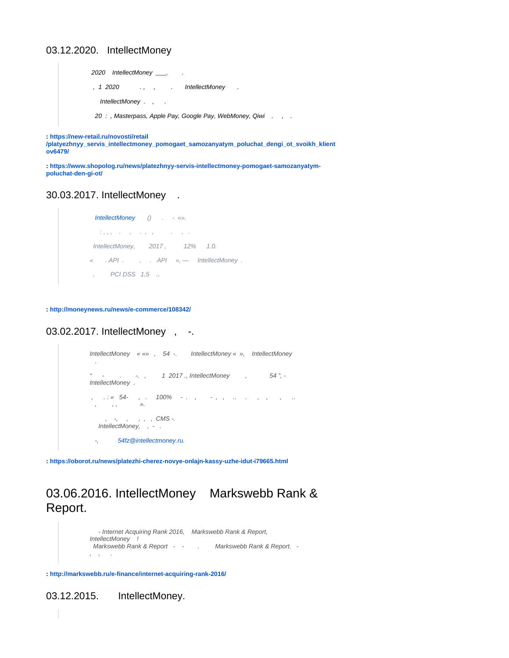#### 03.12.2020. IntellectMoney

2020 IntellectMoney \_\_\_. , 1 2020 . , , . IntellectMoney . IntellectMoney . , . 20 : , Masterpass, Apple Pay, Google Pay, WebMoney, Qiwi . , .

**: [https://new-retail.ru/novosti/retail](https://new-retail.ru/novosti/retail/platyezhnyy_servis_intellectmoney_pomogaet_samozanyatym_poluchat_dengi_ot_svoikh_klientov6479/)**

**[/platyezhnyy\\_servis\\_intellectmoney\\_pomogaet\\_samozanyatym\\_poluchat\\_dengi\\_ot\\_svoikh\\_klient](https://new-retail.ru/novosti/retail/platyezhnyy_servis_intellectmoney_pomogaet_samozanyatym_poluchat_dengi_ot_svoikh_klientov6479/) [ov6479/](https://new-retail.ru/novosti/retail/platyezhnyy_servis_intellectmoney_pomogaet_samozanyatym_poluchat_dengi_ot_svoikh_klientov6479/)**

**: [https://www.shopolog.ru/news/platezhnyy-servis-intellectmoney-pomogaet-samozanyatym](https://www.shopolog.ru/news/platezhnyy-servis-intellectmoney-pomogaet-samozanyatym-poluchat-den-gi-ot/)[poluchat-den-gi-ot/](https://www.shopolog.ru/news/platezhnyy-servis-intellectmoney-pomogaet-samozanyatym-poluchat-den-gi-ot/)**

#### <span id="page-2-0"></span>30.03.2017. IntellectMoney .



**:<http://moneynews.ru/news/e-commerce/108342/>**

<span id="page-2-1"></span>03.02.2017. IntellectMoney, -.

```
IntellectMoney « «» , 54 -. IntellectMoney « », IntellectMoney 
 .
" - ... : ... , 1 2017., IntellectMoney , 54".IntellectMoney . 
, .: « 54- , . 100% - . , - , , .. . , , , ..
 , , , ».
, , , , , , , CMS -.
 IntellectMoney, , - .
  -, 54fz@intellectmoney.ru.
```
**:<https://oborot.ru/news/platezhi-cherez-novye-onlajn-kassy-uzhe-idut-i79665.html>**

# 03.06.2016. IntellectMoney Markswebb Rank & Report.

```
 - Internet Acquiring Rank 2016, Markswebb Rank & Report, 
IntellectMoney !
Markswebb Rank & Report - - . Markswebb Rank & Report. -
, \qquad,
```
**:<http://markswebb.ru/e-finance/internet-acquiring-rank-2016/>**

<span id="page-2-2"></span>03.12.2015. IntellectMoney.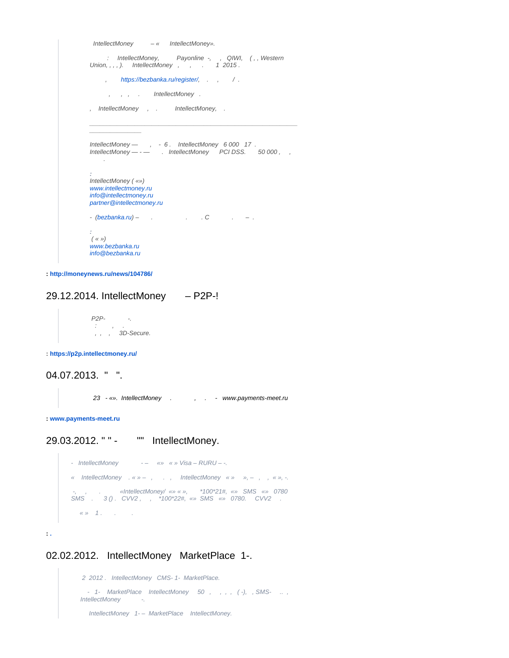```
 IntellectMoney – « IntellectMoney». 
: IntellectMoney, Payonline -, , QIWI, (,, Western
Union, , , , ). IntellectMoney , , . 1 2015.
     https://bezbanka.ru/register/, ., / .
      , , , . IntellectMoney .
, IntellectMoney , . IntellectMoney, .
\mathcal{L}_\text{max} and \mathcal{L}_\text{max} and \mathcal{L}_\text{max} and \mathcal{L}_\text{max} and \mathcal{L}_\text{max} and \mathcal{L}_\text{max}\overline{\phantom{a}}IntellectMoney — , - 6 . IntellectMoney 6 000 17 . 
IntellectMoney --- . IntellectMoney PCIDSS. 50000, ,
    .
:
IntellectMoney ( «»)
www.intellectmoney.ru
info@intellectmoney.ru
partner@intellectmoney.ru
-(\text{bezbanka}.\text{ru}) - \dots . \qquad \qquad . \qquad - \dots:
 ( « »)
www.bezbanka.ru
info@bezbanka.ru
```
**:<http://moneynews.ru/news/104786/>**

## <span id="page-3-0"></span>29.12.2014. IntellectMoney – P2P-!

 P2P- -.  $\cdot$  :  $\cdot$  ,  $\cdot$  . , , , 3D-Secure.

**:<https://p2p.intellectmoney.ru/>**

## <span id="page-3-1"></span>04.07.2013. " ".

23 - «». IntellectMoney . , , . - [www.payments-meet.ru](http://www.payments-meet.ru/)

**: [www.payments-meet.ru](http://www.payments-meet.ru/)**

<span id="page-3-2"></span>29.03.2012. " " - "" IntellectMoney.

- IntellectMoney -- «» « » Visa – RURU – -. « IntellectMoney  $x \times y - z$ , ., IntellectMoney  $x \times y - z$ ,  $y \times z$ , ... -, , . «IntellectMoney/ «» « », \*100\*21#, «» SMS «» 0780 SMS . 3 () . CVV2 , , \*100\*22#, «» SMS «» 0780. CVV2 .  $\langle \langle \rangle \rangle$  1. . .

**: [.](http://lf.rbc.ru/news/card/2012/03/29/205074.shtml)** 

#### <span id="page-3-3"></span>02.02.2012. IntellectMoney MarketPlace 1-.

```
 2 2012 . IntellectMoney CMS- 1- MarketPlace.
  - 1- MarketPlace IntellectMoney 50, ,,, (-),, SMS- ..,
IntellectMoney -.
 IntellectMoney 1- - MarketPlace IntellectMoney.
```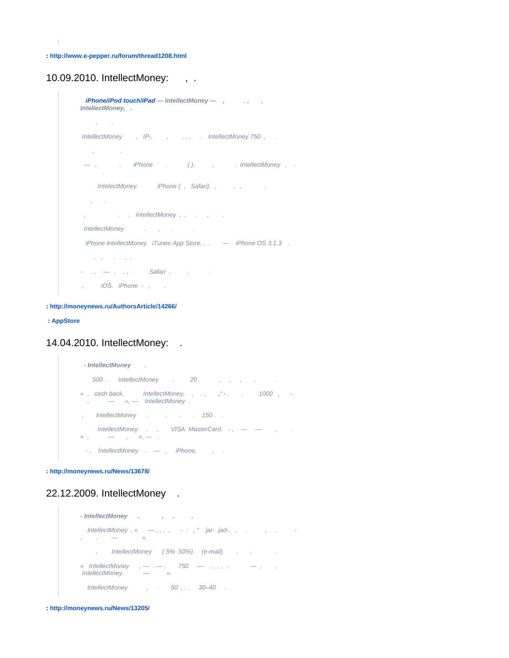**:<http://www.e-pepper.ru/forum/thread1208.html>**

#### <span id="page-4-0"></span>10.09.2010. IntellectMoney: , .

```
iPhone/iPod touch/iPad — IntellectMoney — , witch and y
IntellectMoney, .
    , .
IntellectMoney, IP-, , , , . IntellectMoney 750, .
 , .
  -, . iPhone . (), , . IntellectMoney, .
 .
   IntelectMoney. iPhone (, Safari)., , , , .
  \hat{\mathbf{y}} .
 , . , IntellectMoney , , . , .
IntellectMoney . , . . .
 iPhone IntellectMoney iTunes App Store, , . - - iPhone OS 3.1.3 .
    . , . , .
- , , , ., . Safari , , , .
, iOS. iPhone - , .
```
**:<http://moneynews.ru/AuthorsArticle/14266/>**

 **: [AppStore](http://itunes.apple.com/us/app/intellectmoney/id387690926?mt=8)**

## <span id="page-4-1"></span>14.04.2010. IntellectMoney: .



**:<http://moneynews.ru/News/13678/>**

## <span id="page-4-2"></span>22.12.2009. IntellectMoney .

```
- IntellectMoney . , . .
 IntellectMoney , « — , , . , - : " " jar- jad-, , . , . -
, \qquad \qquad -, IntellectMoney (5% 50%). (e-mail) . , . .
« IntellectMoney , -, -, 750 - , , , , \ldots - , , , IntellectMoney. — ».
  IntellectMoney , . 50 , . . 30–40 .
```
<span id="page-4-3"></span>**:<http://moneynews.ru/News/13205/>**